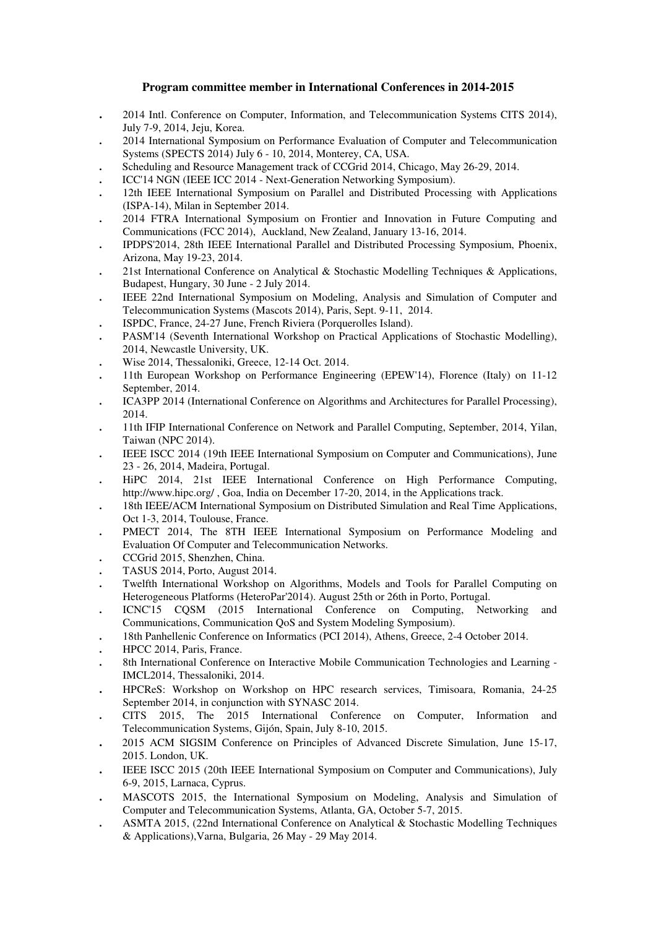## **Program committee member in International Conferences in 2014-2015**

- **.** 2014 Intl. Conference on Computer, Information, and Telecommunication Systems CITS 2014), July 7-9, 2014, Jeju, Korea.
- **.** 2014 International Symposium on Performance Evaluation of Computer and Telecommunication Systems (SPECTS 2014) July 6 - 10, 2014, Monterey, CA, USA.
- **.** Scheduling and Resource Management track of CCGrid 2014, Chicago, May 26-29, 2014.
- **.** ICC'14 NGN (IEEE ICC 2014 Next-Generation Networking Symposium).
- **.** 12th IEEE International Symposium on Parallel and Distributed Processing with Applications (ISPA-14), Milan in September 2014.
- **.** 2014 FTRA International Symposium on Frontier and Innovation in Future Computing and Communications (FCC 2014), Auckland, New Zealand, January 13-16, 2014.
- **.** IPDPS'2014, 28th IEEE International Parallel and Distributed Processing Symposium, Phoenix, Arizona, May 19-23, 2014.
- **.** 21st International Conference on Analytical & Stochastic Modelling Techniques & Applications, Budapest, Hungary, 30 June - 2 July 2014.
- **.** IEEE 22nd International Symposium on Modeling, Analysis and Simulation of Computer and Telecommunication Systems (Mascots 2014), Paris, Sept. 9-11, 2014.
- **.** ISPDC, France, 24-27 June, French Riviera (Porquerolles Island).
- **.** PASM'14 (Seventh International Workshop on Practical Applications of Stochastic Modelling), 2014, Newcastle University, UK.
- **.** Wise 2014, Thessaloniki, Greece, 12-14 Oct. 2014.
- **.** 11th European Workshop on Performance Engineering (EPEW'14), Florence (Italy) on 11-12 September, 2014.
- **.** ICA3PP 2014 (International Conference on Algorithms and Architectures for Parallel Processing), 2014.
- **.** 11th IFIP International Conference on Network and Parallel Computing, September, 2014, Yilan, Taiwan (NPC 2014).
- **.** IEEE ISCC 2014 (19th IEEE International Symposium on Computer and Communications), June 23 - 26, 2014, Madeira, Portugal.
- **.** HiPC 2014, 21st IEEE International Conference on High Performance Computing, http://www.hipc.org/, Goa, India on December 17-20, 2014, in the Applications track.
- **.** 18th IEEE/ACM International Symposium on Distributed Simulation and Real Time Applications, Oct 1-3, 2014, Toulouse, France.
- PMECT 2014, The 8TH IEEE International Symposium on Performance Modeling and Evaluation Of Computer and Telecommunication Networks.
- **.** CCGrid 2015, Shenzhen, China.
- **.** TASUS 2014, Porto, August 2014.
- **.** Twelfth International Workshop on Algorithms, Models and Tools for Parallel Computing on Heterogeneous Platforms (HeteroPar'2014). August 25th or 26th in Porto, Portugal.
- **.** ICNC'15 CQSM (2015 International Conference on Computing, Networking and Communications, Communication QoS and System Modeling Symposium).
- **.** 18th Panhellenic Conference on Informatics (PCI 2014), Athens, Greece, 2-4 October 2014.
- **.** HPCC 2014, Paris, France.
- **.** 8th International Conference on Interactive Mobile Communication Technologies and Learning IMCL2014, Thessaloniki, 2014.
- **.** HPCReS: Workshop on Workshop on HPC research services, Timisoara, Romania, 24-25 September 2014, in conjunction with SYNASC 2014.
- **.** CITS 2015, The 2015 International Conference on Computer, Information and Telecommunication Systems, Gijón, Spain, July 8-10, 2015.
- **.** 2015 ACM SIGSIM Conference on Principles of Advanced Discrete Simulation, June 15-17, 2015. London, UK.
- **.** IEEE ISCC 2015 (20th IEEE International Symposium on Computer and Communications), July 6-9, 2015, Larnaca, Cyprus.
- **.** MASCOTS 2015, the International Symposium on Modeling, Analysis and Simulation of Computer and Telecommunication Systems, Atlanta, GA, October 5-7, 2015.
- **.** ASMTA 2015, (22nd International Conference on Analytical & Stochastic Modelling Techniques & Applications),Varna, Bulgaria, 26 May - 29 May 2014.